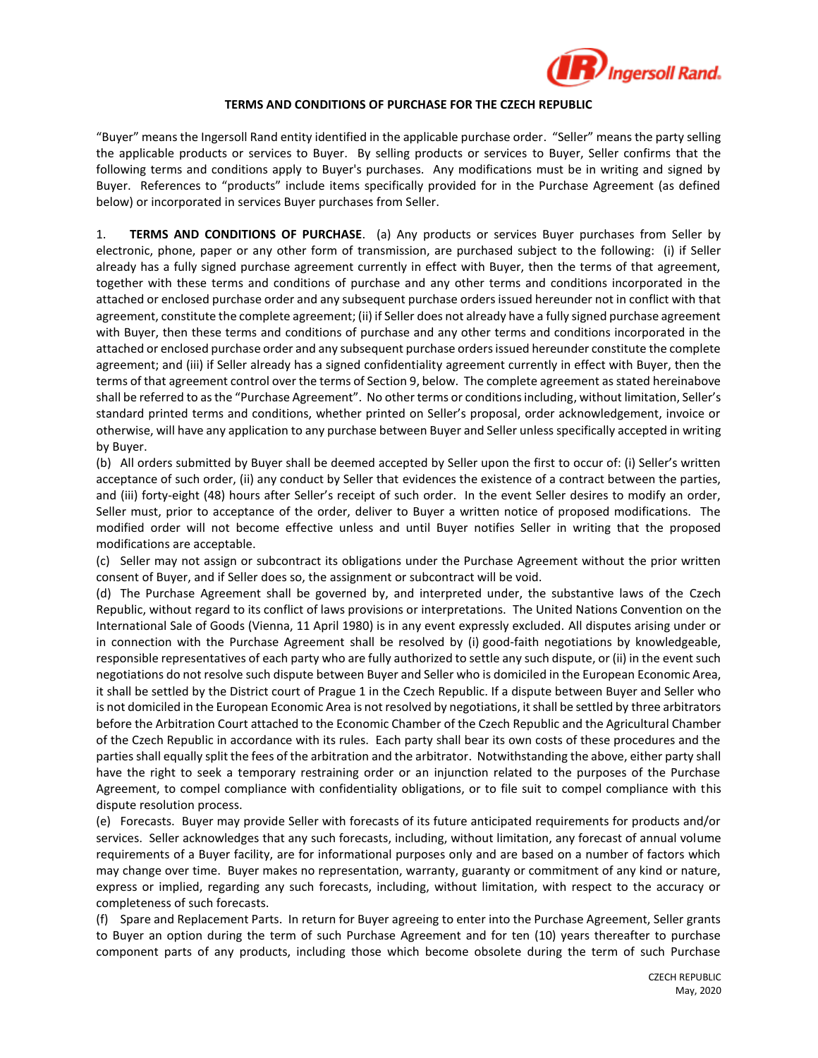

## **TERMS AND CONDITIONS OF PURCHASE FOR THE CZECH REPUBLIC**

"Buyer" means the Ingersoll Rand entity identified in the applicable purchase order. "Seller" means the party selling the applicable products or services to Buyer. By selling products or services to Buyer, Seller confirms that the following terms and conditions apply to Buyer's purchases. Any modifications must be in writing and signed by Buyer. References to "products" include items specifically provided for in the Purchase Agreement (as defined below) or incorporated in services Buyer purchases from Seller.

1. **TERMS AND CONDITIONS OF PURCHASE**. (a) Any products or services Buyer purchases from Seller by electronic, phone, paper or any other form of transmission, are purchased subject to the following: (i) if Seller already has a fully signed purchase agreement currently in effect with Buyer, then the terms of that agreement, together with these terms and conditions of purchase and any other terms and conditions incorporated in the attached or enclosed purchase order and any subsequent purchase orders issued hereunder not in conflict with that agreement, constitute the complete agreement; (ii) if Seller does not already have a fully signed purchase agreement with Buyer, then these terms and conditions of purchase and any other terms and conditions incorporated in the attached or enclosed purchase order and any subsequent purchase orders issued hereunder constitute the complete agreement; and (iii) if Seller already has a signed confidentiality agreement currently in effect with Buyer, then the terms of that agreement control over the terms of Section 9, below. The complete agreement as stated hereinabove shall be referred to as the "Purchase Agreement". No other terms or conditions including, without limitation, Seller's standard printed terms and conditions, whether printed on Seller's proposal, order acknowledgement, invoice or otherwise, will have any application to any purchase between Buyer and Seller unless specifically accepted in writing by Buyer.

(b) All orders submitted by Buyer shall be deemed accepted by Seller upon the first to occur of: (i) Seller's written acceptance of such order, (ii) any conduct by Seller that evidences the existence of a contract between the parties, and (iii) forty-eight (48) hours after Seller's receipt of such order. In the event Seller desires to modify an order, Seller must, prior to acceptance of the order, deliver to Buyer a written notice of proposed modifications. The modified order will not become effective unless and until Buyer notifies Seller in writing that the proposed modifications are acceptable.

(c) Seller may not assign or subcontract its obligations under the Purchase Agreement without the prior written consent of Buyer, and if Seller does so, the assignment or subcontract will be void.

(d) The Purchase Agreement shall be governed by, and interpreted under, the substantive laws of the Czech Republic, without regard to its conflict of laws provisions or interpretations. The United Nations Convention on the International Sale of Goods (Vienna, 11 April 1980) is in any event expressly excluded. All disputes arising under or in connection with the Purchase Agreement shall be resolved by (i) good-faith negotiations by knowledgeable, responsible representatives of each party who are fully authorized to settle any such dispute, or (ii) in the event such negotiations do not resolve such dispute between Buyer and Seller who is domiciled in the European Economic Area, it shall be settled by the District court of Prague 1 in the Czech Republic. If a dispute between Buyer and Seller who is not domiciled in the European Economic Area is not resolved by negotiations, it shall be settled by three arbitrators before the Arbitration Court attached to the Economic Chamber of the Czech Republic and the Agricultural Chamber of the Czech Republic in accordance with its rules. Each party shall bear its own costs of these procedures and the parties shall equally split the fees of the arbitration and the arbitrator. Notwithstanding the above, either party shall have the right to seek a temporary restraining order or an injunction related to the purposes of the Purchase Agreement, to compel compliance with confidentiality obligations, or to file suit to compel compliance with this dispute resolution process.

(e) Forecasts. Buyer may provide Seller with forecasts of its future anticipated requirements for products and/or services. Seller acknowledges that any such forecasts, including, without limitation, any forecast of annual volume requirements of a Buyer facility, are for informational purposes only and are based on a number of factors which may change over time. Buyer makes no representation, warranty, guaranty or commitment of any kind or nature, express or implied, regarding any such forecasts, including, without limitation, with respect to the accuracy or completeness of such forecasts.

(f) Spare and Replacement Parts. In return for Buyer agreeing to enter into the Purchase Agreement, Seller grants to Buyer an option during the term of such Purchase Agreement and for ten (10) years thereafter to purchase component parts of any products, including those which become obsolete during the term of such Purchase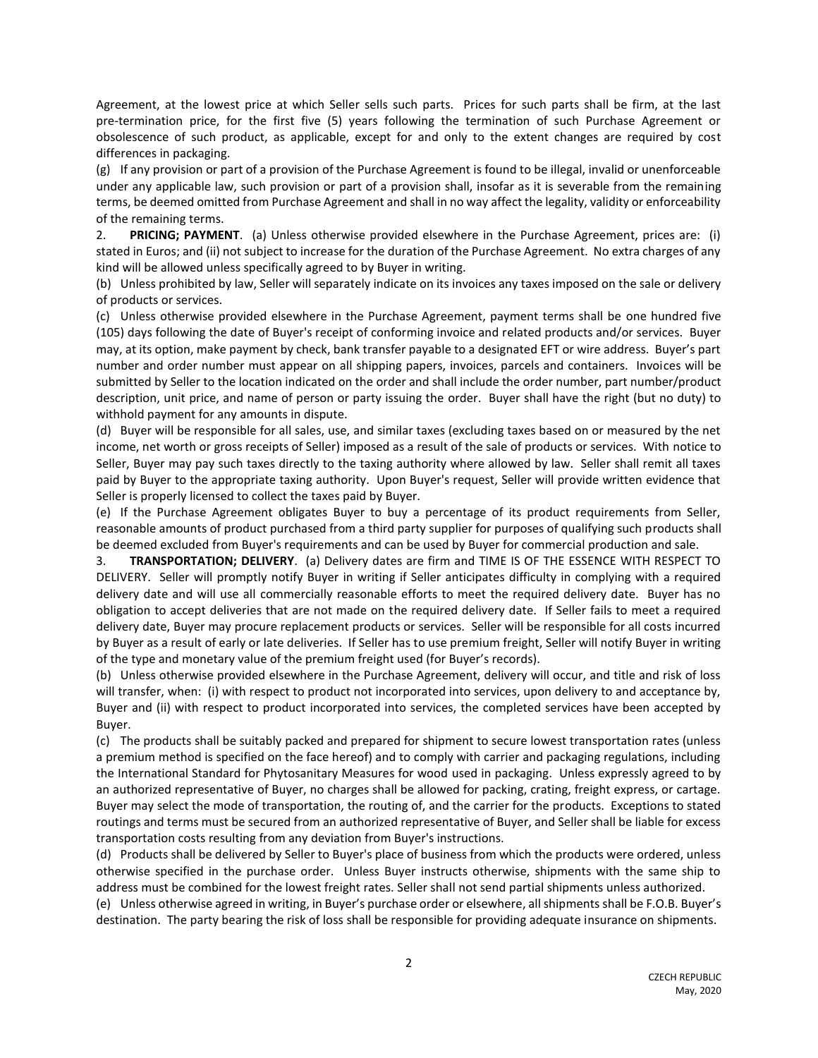Agreement, at the lowest price at which Seller sells such parts. Prices for such parts shall be firm, at the last pre-termination price, for the first five (5) years following the termination of such Purchase Agreement or obsolescence of such product, as applicable, except for and only to the extent changes are required by cost differences in packaging.

(g) If any provision or part of a provision of the Purchase Agreement is found to be illegal, invalid or unenforceable under any applicable law, such provision or part of a provision shall, insofar as it is severable from the remaining terms, be deemed omitted from Purchase Agreement and shall in no way affect the legality, validity or enforceability of the remaining terms.

2. **PRICING; PAYMENT**. (a) Unless otherwise provided elsewhere in the Purchase Agreement, prices are: (i) stated in Euros; and (ii) not subject to increase for the duration of the Purchase Agreement. No extra charges of any kind will be allowed unless specifically agreed to by Buyer in writing.

(b) Unless prohibited by law, Seller will separately indicate on its invoices any taxes imposed on the sale or delivery of products or services.

(c) Unless otherwise provided elsewhere in the Purchase Agreement, payment terms shall be one hundred five (105) days following the date of Buyer's receipt of conforming invoice and related products and/or services. Buyer may, at its option, make payment by check, bank transfer payable to a designated EFT or wire address. Buyer's part number and order number must appear on all shipping papers, invoices, parcels and containers. Invoices will be submitted by Seller to the location indicated on the order and shall include the order number, part number/product description, unit price, and name of person or party issuing the order. Buyer shall have the right (but no duty) to withhold payment for any amounts in dispute.

(d) Buyer will be responsible for all sales, use, and similar taxes (excluding taxes based on or measured by the net income, net worth or gross receipts of Seller) imposed as a result of the sale of products or services. With notice to Seller, Buyer may pay such taxes directly to the taxing authority where allowed by law. Seller shall remit all taxes paid by Buyer to the appropriate taxing authority. Upon Buyer's request, Seller will provide written evidence that Seller is properly licensed to collect the taxes paid by Buyer.

(e) If the Purchase Agreement obligates Buyer to buy a percentage of its product requirements from Seller, reasonable amounts of product purchased from a third party supplier for purposes of qualifying such products shall be deemed excluded from Buyer's requirements and can be used by Buyer for commercial production and sale.

3. **TRANSPORTATION; DELIVERY**. (a) Delivery dates are firm and TIME IS OF THE ESSENCE WITH RESPECT TO DELIVERY. Seller will promptly notify Buyer in writing if Seller anticipates difficulty in complying with a required delivery date and will use all commercially reasonable efforts to meet the required delivery date. Buyer has no obligation to accept deliveries that are not made on the required delivery date. If Seller fails to meet a required delivery date, Buyer may procure replacement products or services. Seller will be responsible for all costs incurred by Buyer as a result of early or late deliveries. If Seller has to use premium freight, Seller will notify Buyer in writing of the type and monetary value of the premium freight used (for Buyer's records).

(b) Unless otherwise provided elsewhere in the Purchase Agreement, delivery will occur, and title and risk of loss will transfer, when: (i) with respect to product not incorporated into services, upon delivery to and acceptance by, Buyer and (ii) with respect to product incorporated into services, the completed services have been accepted by Buyer.

(c) The products shall be suitably packed and prepared for shipment to secure lowest transportation rates (unless a premium method is specified on the face hereof) and to comply with carrier and packaging regulations, including the International Standard for Phytosanitary Measures for wood used in packaging. Unless expressly agreed to by an authorized representative of Buyer, no charges shall be allowed for packing, crating, freight express, or cartage. Buyer may select the mode of transportation, the routing of, and the carrier for the products. Exceptions to stated routings and terms must be secured from an authorized representative of Buyer, and Seller shall be liable for excess transportation costs resulting from any deviation from Buyer's instructions.

(d) Products shall be delivered by Seller to Buyer's place of business from which the products were ordered, unless otherwise specified in the purchase order. Unless Buyer instructs otherwise, shipments with the same ship to address must be combined for the lowest freight rates. Seller shall not send partial shipments unless authorized.

(e) Unless otherwise agreed in writing, in Buyer's purchase order or elsewhere, all shipments shall be F.O.B. Buyer's destination. The party bearing the risk of loss shall be responsible for providing adequate insurance on shipments.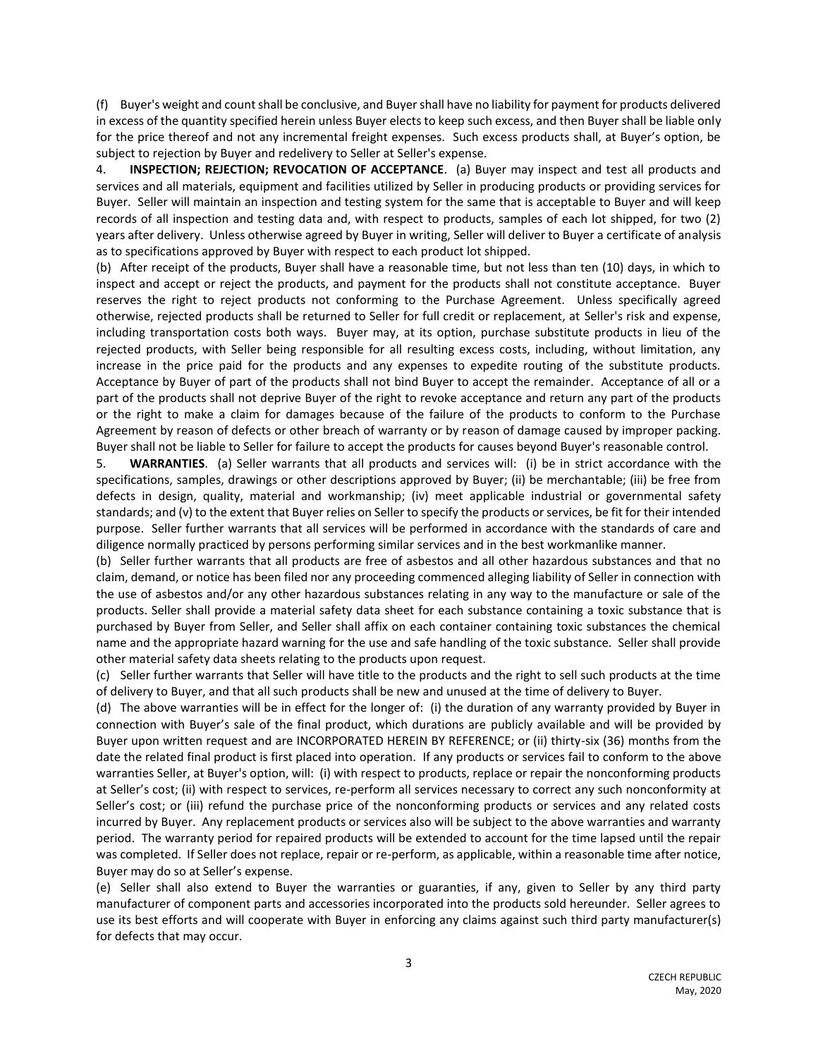(f) Buyer's weight and count shall be conclusive, and Buyer shall have no liability for payment for products delivered in excess of the quantity specified herein unless Buyer elects to keep such excess, and then Buyer shall be liable only for the price thereof and not any incremental freight expenses. Such excess products shall, at Buyer's option, be subject to rejection by Buyer and redelivery to Seller at Seller's expense.

4. **INSPECTION; REJECTION; REVOCATION OF ACCEPTANCE**. (a) Buyer may inspect and test all products and services and all materials, equipment and facilities utilized by Seller in producing products or providing services for Buyer. Seller will maintain an inspection and testing system for the same that is acceptable to Buyer and will keep records of all inspection and testing data and, with respect to products, samples of each lot shipped, for two (2) years after delivery. Unless otherwise agreed by Buyer in writing, Seller will deliver to Buyer a certificate of analysis as to specifications approved by Buyer with respect to each product lot shipped.

(b) After receipt of the products, Buyer shall have a reasonable time, but not less than ten (10) days, in which to inspect and accept or reject the products, and payment for the products shall not constitute acceptance. Buyer reserves the right to reject products not conforming to the Purchase Agreement. Unless specifically agreed otherwise, rejected products shall be returned to Seller for full credit or replacement, at Seller's risk and expense, including transportation costs both ways. Buyer may, at its option, purchase substitute products in lieu of the rejected products, with Seller being responsible for all resulting excess costs, including, without limitation, any increase in the price paid for the products and any expenses to expedite routing of the substitute products. Acceptance by Buyer of part of the products shall not bind Buyer to accept the remainder. Acceptance of all or a part of the products shall not deprive Buyer of the right to revoke acceptance and return any part of the products or the right to make a claim for damages because of the failure of the products to conform to the Purchase Agreement by reason of defects or other breach of warranty or by reason of damage caused by improper packing. Buyer shall not be liable to Seller for failure to accept the products for causes beyond Buyer's reasonable control.

5. **WARRANTIES**. (a) Seller warrants that all products and services will: (i) be in strict accordance with the specifications, samples, drawings or other descriptions approved by Buyer; (ii) be merchantable; (iii) be free from defects in design, quality, material and workmanship; (iv) meet applicable industrial or governmental safety standards; and (v) to the extent that Buyer relies on Seller to specify the products or services, be fit for their intended purpose. Seller further warrants that all services will be performed in accordance with the standards of care and diligence normally practiced by persons performing similar services and in the best workmanlike manner.

(b) Seller further warrants that all products are free of asbestos and all other hazardous substances and that no claim, demand, or notice has been filed nor any proceeding commenced alleging liability of Seller in connection with the use of asbestos and/or any other hazardous substances relating in any way to the manufacture or sale of the products. Seller shall provide a material safety data sheet for each substance containing a toxic substance that is purchased by Buyer from Seller, and Seller shall affix on each container containing toxic substances the chemical name and the appropriate hazard warning for the use and safe handling of the toxic substance. Seller shall provide other material safety data sheets relating to the products upon request.

(c) Seller further warrants that Seller will have title to the products and the right to sell such products at the time of delivery to Buyer, and that all such products shall be new and unused at the time of delivery to Buyer.

(d) The above warranties will be in effect for the longer of: (i) the duration of any warranty provided by Buyer in connection with Buyer's sale of the final product, which durations are publicly available and will be provided by Buyer upon written request and are INCORPORATED HEREIN BY REFERENCE; or (ii) thirty-six (36) months from the date the related final product is first placed into operation. If any products or services fail to conform to the above warranties Seller, at Buyer's option, will: (i) with respect to products, replace or repair the nonconforming products at Seller's cost; (ii) with respect to services, re-perform all services necessary to correct any such nonconformity at Seller's cost; or (iii) refund the purchase price of the nonconforming products or services and any related costs incurred by Buyer. Any replacement products or services also will be subject to the above warranties and warranty period. The warranty period for repaired products will be extended to account for the time lapsed until the repair was completed. If Seller does not replace, repair or re-perform, as applicable, within a reasonable time after notice, Buyer may do so at Seller's expense.

(e) Seller shall also extend to Buyer the warranties or guaranties, if any, given to Seller by any third party manufacturer of component parts and accessories incorporated into the products sold hereunder. Seller agrees to use its best efforts and will cooperate with Buyer in enforcing any claims against such third party manufacturer(s) for defects that may occur.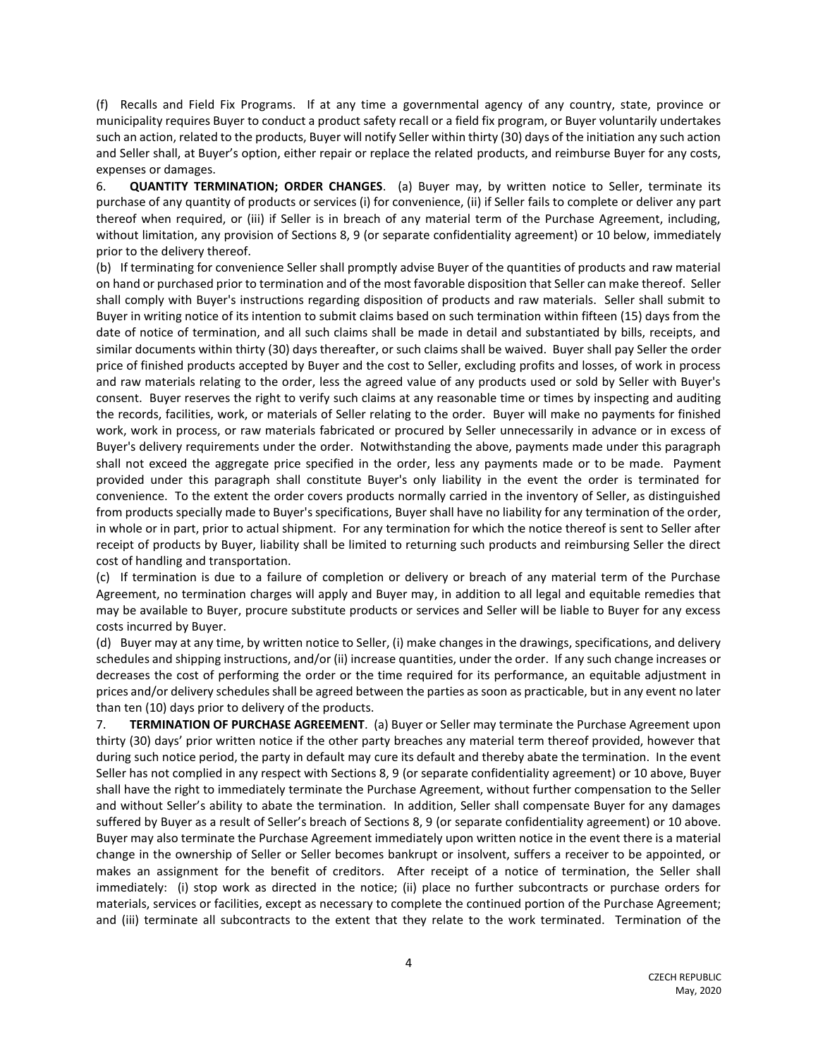(f) Recalls and Field Fix Programs. If at any time a governmental agency of any country, state, province or municipality requires Buyer to conduct a product safety recall or a field fix program, or Buyer voluntarily undertakes such an action, related to the products, Buyer will notify Seller within thirty (30) days of the initiation any such action and Seller shall, at Buyer's option, either repair or replace the related products, and reimburse Buyer for any costs, expenses or damages.

6. **QUANTITY TERMINATION; ORDER CHANGES**. (a) Buyer may, by written notice to Seller, terminate its purchase of any quantity of products or services (i) for convenience, (ii) if Seller fails to complete or deliver any part thereof when required, or (iii) if Seller is in breach of any material term of the Purchase Agreement, including, without limitation, any provision of Sections 8, 9 (or separate confidentiality agreement) or 10 below, immediately prior to the delivery thereof.

(b) If terminating for convenience Seller shall promptly advise Buyer of the quantities of products and raw material on hand or purchased prior to termination and of the most favorable disposition that Seller can make thereof. Seller shall comply with Buyer's instructions regarding disposition of products and raw materials. Seller shall submit to Buyer in writing notice of its intention to submit claims based on such termination within fifteen (15) days from the date of notice of termination, and all such claims shall be made in detail and substantiated by bills, receipts, and similar documents within thirty (30) days thereafter, or such claims shall be waived. Buyer shall pay Seller the order price of finished products accepted by Buyer and the cost to Seller, excluding profits and losses, of work in process and raw materials relating to the order, less the agreed value of any products used or sold by Seller with Buyer's consent. Buyer reserves the right to verify such claims at any reasonable time or times by inspecting and auditing the records, facilities, work, or materials of Seller relating to the order. Buyer will make no payments for finished work, work in process, or raw materials fabricated or procured by Seller unnecessarily in advance or in excess of Buyer's delivery requirements under the order. Notwithstanding the above, payments made under this paragraph shall not exceed the aggregate price specified in the order, less any payments made or to be made. Payment provided under this paragraph shall constitute Buyer's only liability in the event the order is terminated for convenience. To the extent the order covers products normally carried in the inventory of Seller, as distinguished from products specially made to Buyer's specifications, Buyer shall have no liability for any termination of the order, in whole or in part, prior to actual shipment. For any termination for which the notice thereof is sent to Seller after receipt of products by Buyer, liability shall be limited to returning such products and reimbursing Seller the direct cost of handling and transportation.

(c) If termination is due to a failure of completion or delivery or breach of any material term of the Purchase Agreement, no termination charges will apply and Buyer may, in addition to all legal and equitable remedies that may be available to Buyer, procure substitute products or services and Seller will be liable to Buyer for any excess costs incurred by Buyer.

(d) Buyer may at any time, by written notice to Seller, (i) make changes in the drawings, specifications, and delivery schedules and shipping instructions, and/or (ii) increase quantities, under the order. If any such change increases or decreases the cost of performing the order or the time required for its performance, an equitable adjustment in prices and/or delivery schedules shall be agreed between the parties as soon as practicable, but in any event no later than ten (10) days prior to delivery of the products.

7. **TERMINATION OF PURCHASE AGREEMENT**. (a) Buyer or Seller may terminate the Purchase Agreement upon thirty (30) days' prior written notice if the other party breaches any material term thereof provided, however that during such notice period, the party in default may cure its default and thereby abate the termination. In the event Seller has not complied in any respect with Sections 8, 9 (or separate confidentiality agreement) or 10 above, Buyer shall have the right to immediately terminate the Purchase Agreement, without further compensation to the Seller and without Seller's ability to abate the termination. In addition, Seller shall compensate Buyer for any damages suffered by Buyer as a result of Seller's breach of Sections 8, 9 (or separate confidentiality agreement) or 10 above. Buyer may also terminate the Purchase Agreement immediately upon written notice in the event there is a material change in the ownership of Seller or Seller becomes bankrupt or insolvent, suffers a receiver to be appointed, or makes an assignment for the benefit of creditors. After receipt of a notice of termination, the Seller shall immediately: (i) stop work as directed in the notice; (ii) place no further subcontracts or purchase orders for materials, services or facilities, except as necessary to complete the continued portion of the Purchase Agreement; and (iii) terminate all subcontracts to the extent that they relate to the work terminated. Termination of the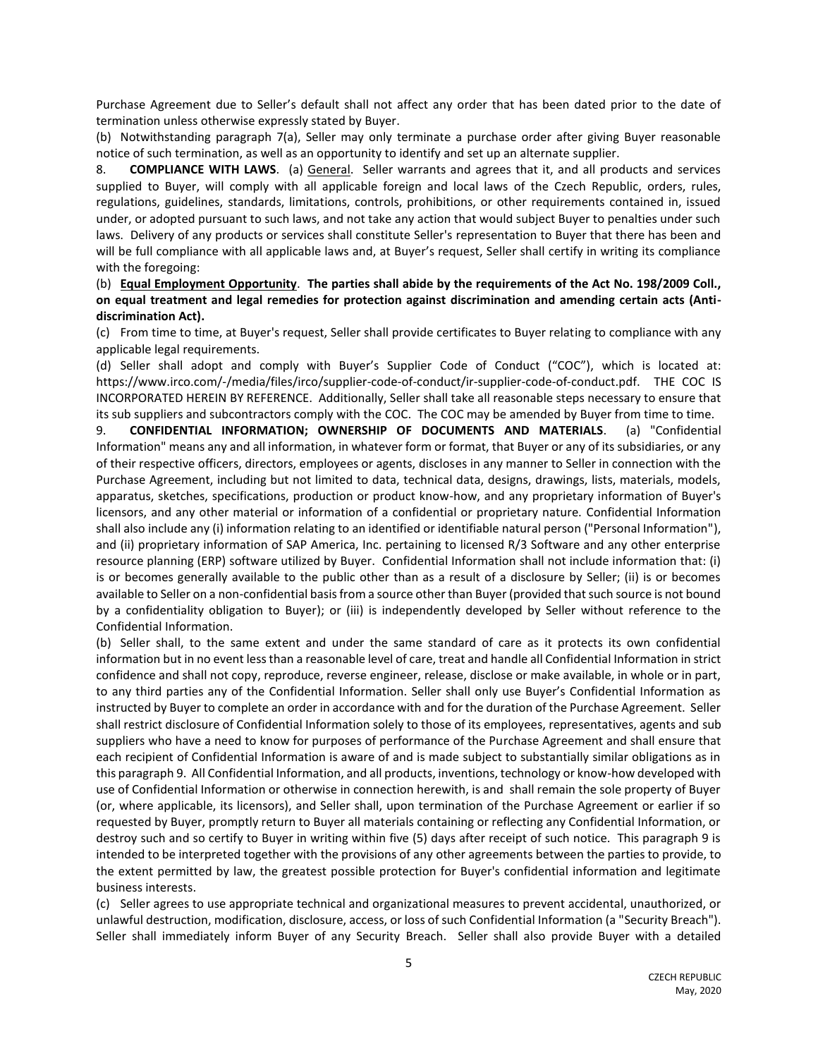Purchase Agreement due to Seller's default shall not affect any order that has been dated prior to the date of termination unless otherwise expressly stated by Buyer.

(b) Notwithstanding paragraph 7(a), Seller may only terminate a purchase order after giving Buyer reasonable notice of such termination, as well as an opportunity to identify and set up an alternate supplier.

8. **COMPLIANCE WITH LAWS**. (a) General. Seller warrants and agrees that it, and all products and services supplied to Buyer, will comply with all applicable foreign and local laws of the Czech Republic, orders, rules, regulations, guidelines, standards, limitations, controls, prohibitions, or other requirements contained in, issued under, or adopted pursuant to such laws, and not take any action that would subject Buyer to penalties under such laws. Delivery of any products or services shall constitute Seller's representation to Buyer that there has been and will be full compliance with all applicable laws and, at Buyer's request, Seller shall certify in writing its compliance with the foregoing:

(b) **Equal Employment Opportunity**. **The parties shall abide by the requirements of the Act No. 198/2009 Coll., on equal treatment and legal remedies for protection against discrimination and amending certain acts (Antidiscrimination Act).**

(c) From time to time, at Buyer's request, Seller shall provide certificates to Buyer relating to compliance with any applicable legal requirements.

(d) Seller shall adopt and comply with Buyer's Supplier Code of Conduct ("COC"), which is located at: https://www.irco.com/-/media/files/irco/supplier-code-of-conduct/ir-supplier-code-of-conduct.pdf. THE COC IS INCORPORATED HEREIN BY REFERENCE. Additionally, Seller shall take all reasonable steps necessary to ensure that its sub suppliers and subcontractors comply with the COC. The COC may be amended by Buyer from time to time.

9. **CONFIDENTIAL INFORMATION; OWNERSHIP OF DOCUMENTS AND MATERIALS**. (a) "Confidential Information" means any and all information, in whatever form or format, that Buyer or any of its subsidiaries, or any of their respective officers, directors, employees or agents, discloses in any manner to Seller in connection with the Purchase Agreement, including but not limited to data, technical data, designs, drawings, lists, materials, models, apparatus, sketches, specifications, production or product know-how, and any proprietary information of Buyer's licensors, and any other material or information of a confidential or proprietary nature. Confidential Information shall also include any (i) information relating to an identified or identifiable natural person ("Personal Information"), and (ii) proprietary information of SAP America, Inc. pertaining to licensed R/3 Software and any other enterprise resource planning (ERP) software utilized by Buyer. Confidential Information shall not include information that: (i) is or becomes generally available to the public other than as a result of a disclosure by Seller; (ii) is or becomes available to Seller on a non-confidential basis from a source other than Buyer (provided that such source is not bound by a confidentiality obligation to Buyer); or (iii) is independently developed by Seller without reference to the Confidential Information.

(b) Seller shall, to the same extent and under the same standard of care as it protects its own confidential information but in no event less than a reasonable level of care, treat and handle all Confidential Information in strict confidence and shall not copy, reproduce, reverse engineer, release, disclose or make available, in whole or in part, to any third parties any of the Confidential Information. Seller shall only use Buyer's Confidential Information as instructed by Buyer to complete an order in accordance with and for the duration of the Purchase Agreement. Seller shall restrict disclosure of Confidential Information solely to those of its employees, representatives, agents and sub suppliers who have a need to know for purposes of performance of the Purchase Agreement and shall ensure that each recipient of Confidential Information is aware of and is made subject to substantially similar obligations as in this paragraph 9. All Confidential Information, and all products, inventions, technology or know-how developed with use of Confidential Information or otherwise in connection herewith, is and shall remain the sole property of Buyer (or, where applicable, its licensors), and Seller shall, upon termination of the Purchase Agreement or earlier if so requested by Buyer, promptly return to Buyer all materials containing or reflecting any Confidential Information, or destroy such and so certify to Buyer in writing within five (5) days after receipt of such notice. This paragraph 9 is intended to be interpreted together with the provisions of any other agreements between the parties to provide, to the extent permitted by law, the greatest possible protection for Buyer's confidential information and legitimate business interests.

(c) Seller agrees to use appropriate technical and organizational measures to prevent accidental, unauthorized, or unlawful destruction, modification, disclosure, access, or loss of such Confidential Information (a "Security Breach"). Seller shall immediately inform Buyer of any Security Breach. Seller shall also provide Buyer with a detailed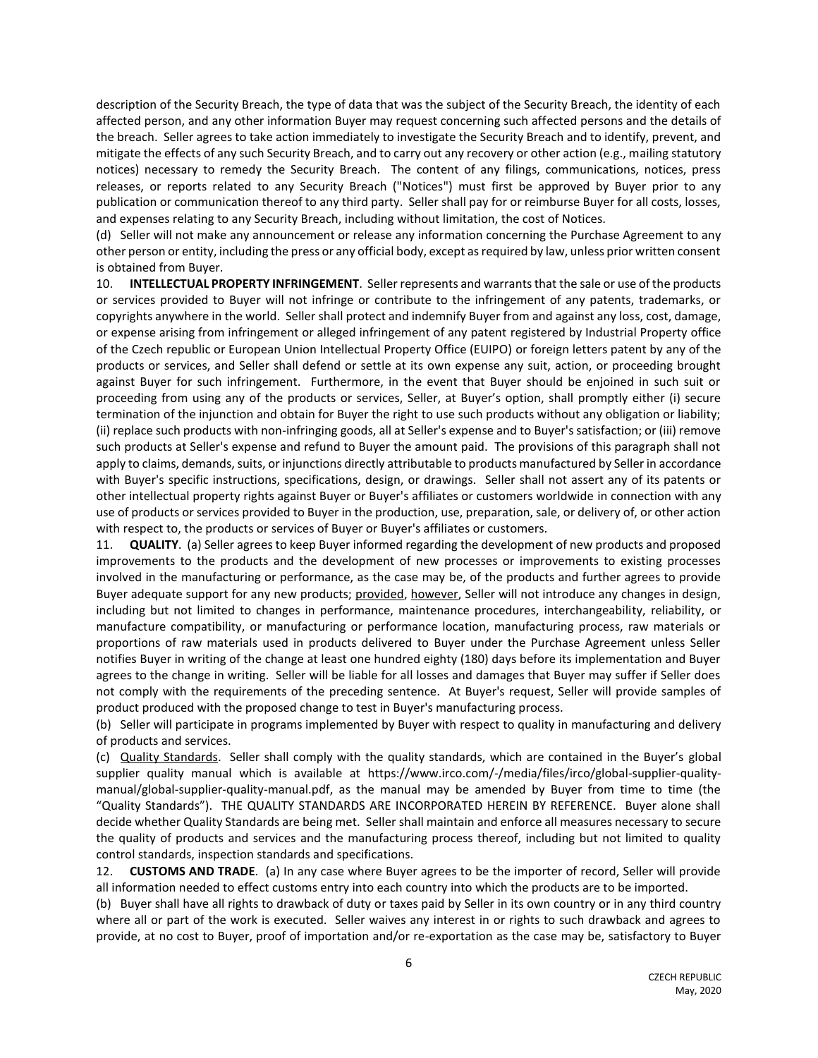description of the Security Breach, the type of data that was the subject of the Security Breach, the identity of each affected person, and any other information Buyer may request concerning such affected persons and the details of the breach. Seller agrees to take action immediately to investigate the Security Breach and to identify, prevent, and mitigate the effects of any such Security Breach, and to carry out any recovery or other action (e.g., mailing statutory notices) necessary to remedy the Security Breach. The content of any filings, communications, notices, press releases, or reports related to any Security Breach ("Notices") must first be approved by Buyer prior to any publication or communication thereof to any third party. Seller shall pay for or reimburse Buyer for all costs, losses, and expenses relating to any Security Breach, including without limitation, the cost of Notices.

(d) Seller will not make any announcement or release any information concerning the Purchase Agreement to any other person or entity, including the press or any official body, except as required by law, unless prior written consent is obtained from Buyer.

10. **INTELLECTUAL PROPERTY INFRINGEMENT**. Seller represents and warrants that the sale or use of the products or services provided to Buyer will not infringe or contribute to the infringement of any patents, trademarks, or copyrights anywhere in the world. Seller shall protect and indemnify Buyer from and against any loss, cost, damage, or expense arising from infringement or alleged infringement of any patent registered by Industrial Property office of the Czech republic or European Union Intellectual Property Office (EUIPO) or foreign letters patent by any of the products or services, and Seller shall defend or settle at its own expense any suit, action, or proceeding brought against Buyer for such infringement. Furthermore, in the event that Buyer should be enjoined in such suit or proceeding from using any of the products or services, Seller, at Buyer's option, shall promptly either (i) secure termination of the injunction and obtain for Buyer the right to use such products without any obligation or liability; (ii) replace such products with non-infringing goods, all at Seller's expense and to Buyer's satisfaction; or (iii) remove such products at Seller's expense and refund to Buyer the amount paid. The provisions of this paragraph shall not apply to claims, demands, suits, or injunctions directly attributable to products manufactured by Seller in accordance with Buyer's specific instructions, specifications, design, or drawings. Seller shall not assert any of its patents or other intellectual property rights against Buyer or Buyer's affiliates or customers worldwide in connection with any use of products or services provided to Buyer in the production, use, preparation, sale, or delivery of, or other action with respect to, the products or services of Buyer or Buyer's affiliates or customers.

11. **QUALITY**. (a) Seller agrees to keep Buyer informed regarding the development of new products and proposed improvements to the products and the development of new processes or improvements to existing processes involved in the manufacturing or performance, as the case may be, of the products and further agrees to provide Buyer adequate support for any new products; provided, however, Seller will not introduce any changes in design, including but not limited to changes in performance, maintenance procedures, interchangeability, reliability, or manufacture compatibility, or manufacturing or performance location, manufacturing process, raw materials or proportions of raw materials used in products delivered to Buyer under the Purchase Agreement unless Seller notifies Buyer in writing of the change at least one hundred eighty (180) days before its implementation and Buyer agrees to the change in writing. Seller will be liable for all losses and damages that Buyer may suffer if Seller does not comply with the requirements of the preceding sentence. At Buyer's request, Seller will provide samples of product produced with the proposed change to test in Buyer's manufacturing process.

(b) Seller will participate in programs implemented by Buyer with respect to quality in manufacturing and delivery of products and services.

(c) Quality Standards. Seller shall comply with the quality standards, which are contained in the Buyer's global supplier quality manual which is available at https://www.irco.com/-/media/files/irco/global-supplier-qualitymanual/global-supplier-quality-manual.pdf, as the manual may be amended by Buyer from time to time (the "Quality Standards"). THE QUALITY STANDARDS ARE INCORPORATED HEREIN BY REFERENCE. Buyer alone shall decide whether Quality Standards are being met. Seller shall maintain and enforce all measures necessary to secure the quality of products and services and the manufacturing process thereof, including but not limited to quality control standards, inspection standards and specifications.

12. **CUSTOMS AND TRADE**. (a) In any case where Buyer agrees to be the importer of record, Seller will provide all information needed to effect customs entry into each country into which the products are to be imported.

(b) Buyer shall have all rights to drawback of duty or taxes paid by Seller in its own country or in any third country where all or part of the work is executed. Seller waives any interest in or rights to such drawback and agrees to provide, at no cost to Buyer, proof of importation and/or re-exportation as the case may be, satisfactory to Buyer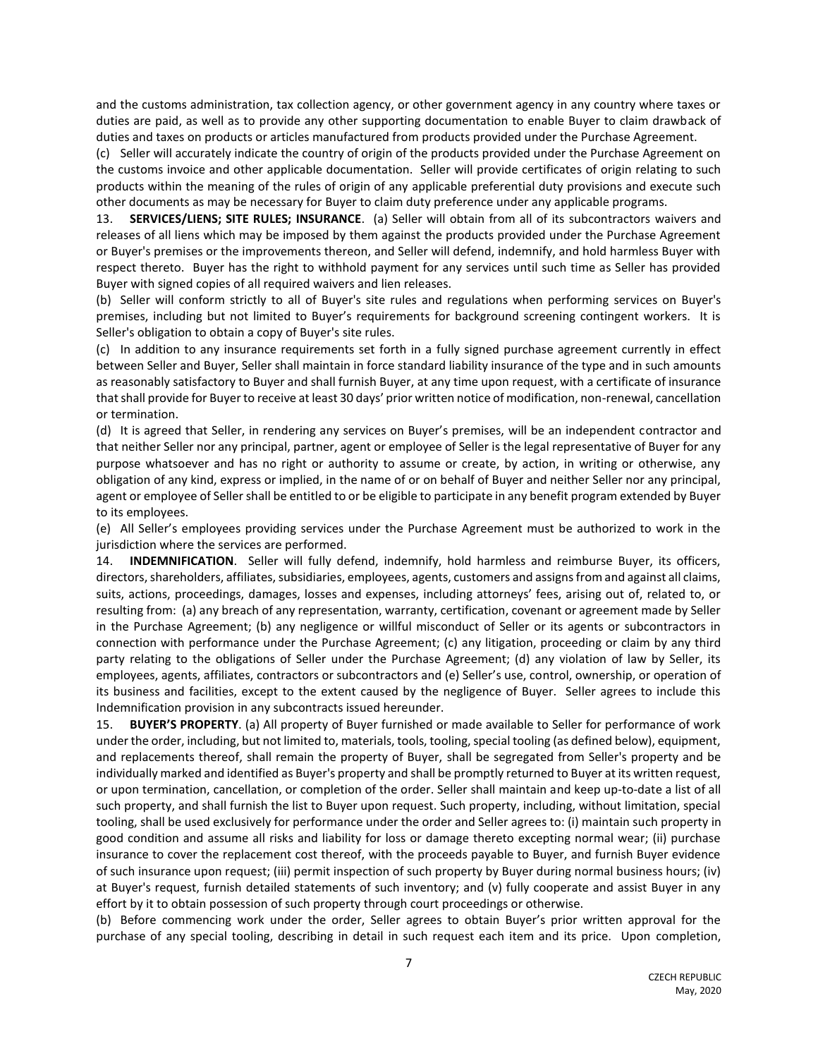and the customs administration, tax collection agency, or other government agency in any country where taxes or duties are paid, as well as to provide any other supporting documentation to enable Buyer to claim drawback of duties and taxes on products or articles manufactured from products provided under the Purchase Agreement.

(c) Seller will accurately indicate the country of origin of the products provided under the Purchase Agreement on the customs invoice and other applicable documentation. Seller will provide certificates of origin relating to such products within the meaning of the rules of origin of any applicable preferential duty provisions and execute such other documents as may be necessary for Buyer to claim duty preference under any applicable programs.

13. **SERVICES/LIENS; SITE RULES; INSURANCE**. (a) Seller will obtain from all of its subcontractors waivers and releases of all liens which may be imposed by them against the products provided under the Purchase Agreement or Buyer's premises or the improvements thereon, and Seller will defend, indemnify, and hold harmless Buyer with respect thereto. Buyer has the right to withhold payment for any services until such time as Seller has provided Buyer with signed copies of all required waivers and lien releases.

(b) Seller will conform strictly to all of Buyer's site rules and regulations when performing services on Buyer's premises, including but not limited to Buyer's requirements for background screening contingent workers. It is Seller's obligation to obtain a copy of Buyer's site rules.

(c) In addition to any insurance requirements set forth in a fully signed purchase agreement currently in effect between Seller and Buyer, Seller shall maintain in force standard liability insurance of the type and in such amounts as reasonably satisfactory to Buyer and shall furnish Buyer, at any time upon request, with a certificate of insurance that shall provide for Buyer to receive at least 30 days' prior written notice of modification, non-renewal, cancellation or termination.

(d) It is agreed that Seller, in rendering any services on Buyer's premises, will be an independent contractor and that neither Seller nor any principal, partner, agent or employee of Seller is the legal representative of Buyer for any purpose whatsoever and has no right or authority to assume or create, by action, in writing or otherwise, any obligation of any kind, express or implied, in the name of or on behalf of Buyer and neither Seller nor any principal, agent or employee of Seller shall be entitled to or be eligible to participate in any benefit program extended by Buyer to its employees.

(e) All Seller's employees providing services under the Purchase Agreement must be authorized to work in the jurisdiction where the services are performed.

14. **INDEMNIFICATION**. Seller will fully defend, indemnify, hold harmless and reimburse Buyer, its officers, directors, shareholders, affiliates, subsidiaries, employees, agents, customers and assigns from and against all claims, suits, actions, proceedings, damages, losses and expenses, including attorneys' fees, arising out of, related to, or resulting from: (a) any breach of any representation, warranty, certification, covenant or agreement made by Seller in the Purchase Agreement; (b) any negligence or willful misconduct of Seller or its agents or subcontractors in connection with performance under the Purchase Agreement; (c) any litigation, proceeding or claim by any third party relating to the obligations of Seller under the Purchase Agreement; (d) any violation of law by Seller, its employees, agents, affiliates, contractors or subcontractors and (e) Seller's use, control, ownership, or operation of its business and facilities, except to the extent caused by the negligence of Buyer. Seller agrees to include this Indemnification provision in any subcontracts issued hereunder.

15. **BUYER'S PROPERTY**. (a) All property of Buyer furnished or made available to Seller for performance of work under the order, including, but not limited to, materials, tools, tooling, special tooling (as defined below), equipment, and replacements thereof, shall remain the property of Buyer, shall be segregated from Seller's property and be individually marked and identified as Buyer's property and shall be promptly returned to Buyer at its written request, or upon termination, cancellation, or completion of the order. Seller shall maintain and keep up-to-date a list of all such property, and shall furnish the list to Buyer upon request. Such property, including, without limitation, special tooling, shall be used exclusively for performance under the order and Seller agrees to: (i) maintain such property in good condition and assume all risks and liability for loss or damage thereto excepting normal wear; (ii) purchase insurance to cover the replacement cost thereof, with the proceeds payable to Buyer, and furnish Buyer evidence of such insurance upon request; (iii) permit inspection of such property by Buyer during normal business hours; (iv) at Buyer's request, furnish detailed statements of such inventory; and (v) fully cooperate and assist Buyer in any effort by it to obtain possession of such property through court proceedings or otherwise.

(b) Before commencing work under the order, Seller agrees to obtain Buyer's prior written approval for the purchase of any special tooling, describing in detail in such request each item and its price. Upon completion,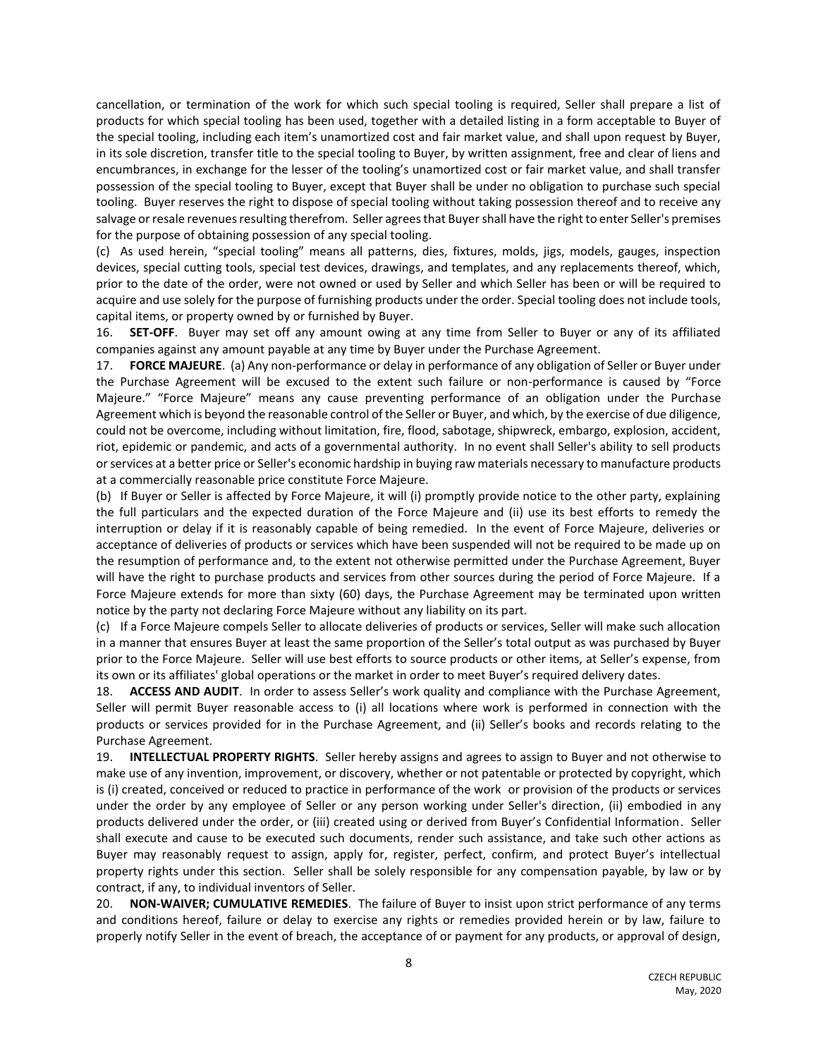cancellation, or termination of the work for which such special tooling is required, Seller shall prepare a list of products for which special tooling has been used, together with a detailed listing in a form acceptable to Buyer of the special tooling, including each item's unamortized cost and fair market value, and shall upon request by Buyer, in its sole discretion, transfer title to the special tooling to Buyer, by written assignment, free and clear of liens and encumbrances, in exchange for the lesser of the tooling's unamortized cost or fair market value, and shall transfer possession of the special tooling to Buyer, except that Buyer shall be under no obligation to purchase such special tooling. Buyer reserves the right to dispose of special tooling without taking possession thereof and to receive any salvage or resale revenues resulting therefrom. Seller agrees that Buyer shall have the right to enter Seller's premises for the purpose of obtaining possession of any special tooling.

(c) As used herein, "special tooling" means all patterns, dies, fixtures, molds, jigs, models, gauges, inspection devices, special cutting tools, special test devices, drawings, and templates, and any replacements thereof, which, prior to the date of the order, were not owned or used by Seller and which Seller has been or will be required to acquire and use solely for the purpose of furnishing products under the order. Special tooling does not include tools, capital items, or property owned by or furnished by Buyer.

16. **SET-OFF**. Buyer may set off any amount owing at any time from Seller to Buyer or any of its affiliated companies against any amount payable at any time by Buyer under the Purchase Agreement.

17. **FORCE MAJEURE**. (a) Any non-performance or delay in performance of any obligation of Seller or Buyer under the Purchase Agreement will be excused to the extent such failure or non-performance is caused by "Force Majeure." "Force Majeure" means any cause preventing performance of an obligation under the Purchase Agreement which is beyond the reasonable control of the Seller or Buyer, and which, by the exercise of due diligence, could not be overcome, including without limitation, fire, flood, sabotage, shipwreck, embargo, explosion, accident, riot, epidemic or pandemic, and acts of a governmental authority. In no event shall Seller's ability to sell products or services at a better price or Seller's economic hardship in buying raw materials necessary to manufacture products at a commercially reasonable price constitute Force Majeure.

(b) If Buyer or Seller is affected by Force Majeure, it will (i) promptly provide notice to the other party, explaining the full particulars and the expected duration of the Force Majeure and (ii) use its best efforts to remedy the interruption or delay if it is reasonably capable of being remedied. In the event of Force Majeure, deliveries or acceptance of deliveries of products or services which have been suspended will not be required to be made up on the resumption of performance and, to the extent not otherwise permitted under the Purchase Agreement, Buyer will have the right to purchase products and services from other sources during the period of Force Majeure. If a Force Majeure extends for more than sixty (60) days, the Purchase Agreement may be terminated upon written notice by the party not declaring Force Majeure without any liability on its part.

(c) If a Force Majeure compels Seller to allocate deliveries of products or services, Seller will make such allocation in a manner that ensures Buyer at least the same proportion of the Seller's total output as was purchased by Buyer prior to the Force Majeure. Seller will use best efforts to source products or other items, at Seller's expense, from its own or its affiliates' global operations or the market in order to meet Buyer's required delivery dates.

18. **ACCESS AND AUDIT**. In order to assess Seller's work quality and compliance with the Purchase Agreement, Seller will permit Buyer reasonable access to (i) all locations where work is performed in connection with the products or services provided for in the Purchase Agreement, and (ii) Seller's books and records relating to the Purchase Agreement.

19. **INTELLECTUAL PROPERTY RIGHTS**. Seller hereby assigns and agrees to assign to Buyer and not otherwise to make use of any invention, improvement, or discovery, whether or not patentable or protected by copyright, which is (i) created, conceived or reduced to practice in performance of the work or provision of the products or services under the order by any employee of Seller or any person working under Seller's direction, (ii) embodied in any products delivered under the order, or (iii) created using or derived from Buyer's Confidential Information. Seller shall execute and cause to be executed such documents, render such assistance, and take such other actions as Buyer may reasonably request to assign, apply for, register, perfect, confirm, and protect Buyer's intellectual property rights under this section. Seller shall be solely responsible for any compensation payable, by law or by contract, if any, to individual inventors of Seller.

20. **NON-WAIVER; CUMULATIVE REMEDIES**. The failure of Buyer to insist upon strict performance of any terms and conditions hereof, failure or delay to exercise any rights or remedies provided herein or by law, failure to properly notify Seller in the event of breach, the acceptance of or payment for any products, or approval of design,